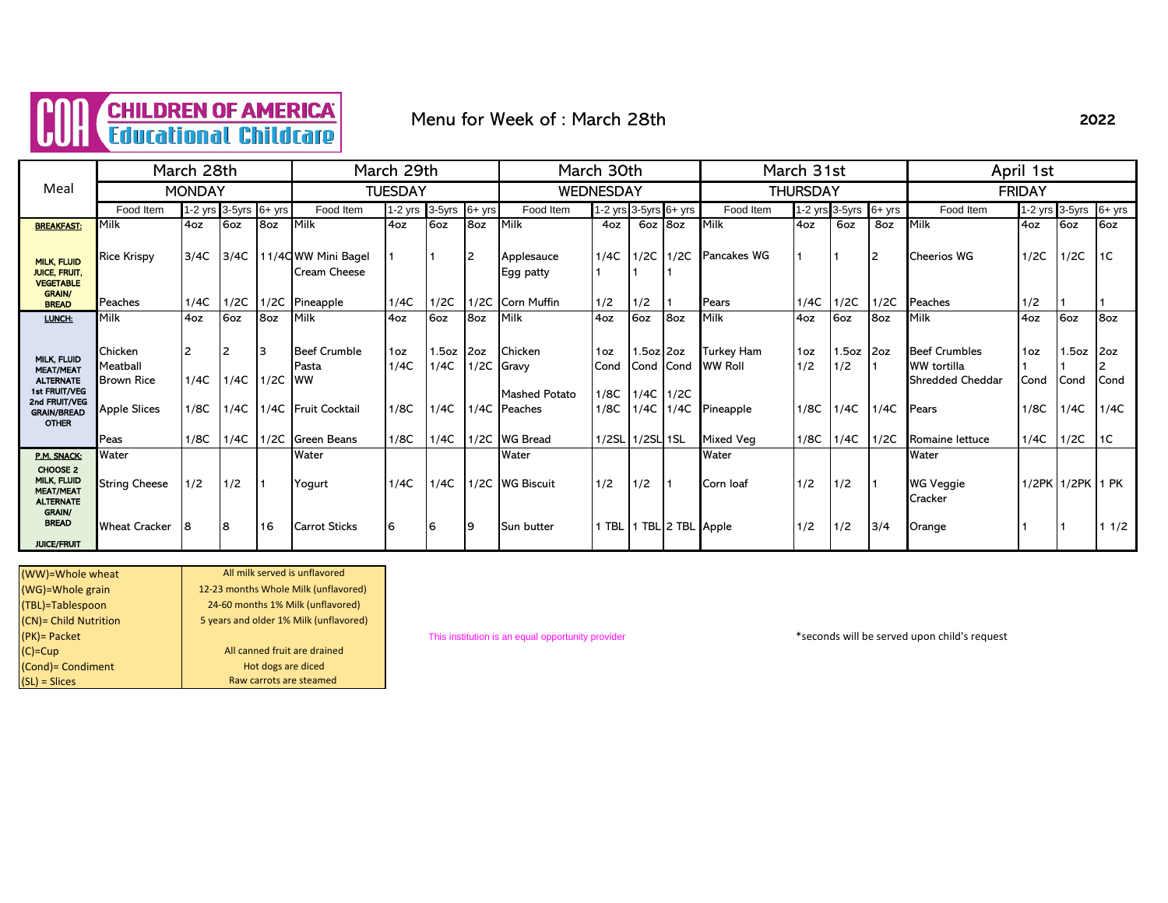

### Menu for Week of : March 28th

|                                                                                       |                                                                               | March 28th    |                       |            |                                                                   | March 29th                      |                       |             |                                                                 | March 30th                  |                                               |                 | March 31st                                |                    |                            |          | April 1st                                                                               |                                 |                      |                     |
|---------------------------------------------------------------------------------------|-------------------------------------------------------------------------------|---------------|-----------------------|------------|-------------------------------------------------------------------|---------------------------------|-----------------------|-------------|-----------------------------------------------------------------|-----------------------------|-----------------------------------------------|-----------------|-------------------------------------------|--------------------|----------------------------|----------|-----------------------------------------------------------------------------------------|---------------------------------|----------------------|---------------------|
| Meal                                                                                  |                                                                               | <b>MONDAY</b> |                       |            |                                                                   | <b>TUESDAY</b>                  |                       |             |                                                                 | <b>WEDNESDAY</b>            |                                               |                 |                                           | <b>THURSDAY</b>    |                            |          |                                                                                         | <b>FRIDAY</b>                   |                      |                     |
|                                                                                       | Food Item                                                                     |               | 1-2 yrs 3-5yrs 6+ yrs |            | Food Item                                                         | $1-2$ yrs                       | 3-5yrs                | $6+$ yrs    | Food Item                                                       | 1-2 yrs 3-5yrs 6+ yrs       |                                               |                 | Food Item                                 |                    | 1-2 yrs 3-5yrs             | $6+$ yrs | Food Item                                                                               | 1-2 yrs 3-5yrs                  |                      | $6+$ yrs            |
| <b>BREAKFAST:</b>                                                                     | Milk                                                                          | 4oz           | 6oz                   | 8oz        | Milk                                                              | 4oz                             | 6oz                   | 8oz         | Milk                                                            | 4oz                         | 6oz                                           | 8oz             | Milk                                      | 4oz                | 6oz                        | 8oz      | Milk                                                                                    | 4oz                             | 6oz                  | 6oz                 |
| <b>MILK, FLUID</b><br><b>JUICE, FRUIT.</b><br><b>VEGETABLE</b>                        | <b>Rice Krispy</b>                                                            | 3/4C          | 3/4C                  |            | 11/40 WW Mini Bagel<br>Cream Cheese                               |                                 |                       | 12          | Applesauce<br>Egg patty                                         | 1/4C                        | $1/2C$ 1/2C                                   |                 | <b>Pancakes WG</b>                        |                    |                            | 12       | <b>Cheerios WG</b>                                                                      | 1/2C                            | 1/2C                 | 1C                  |
| <b>GRAIN/</b><br><b>BREAD</b>                                                         | Peaches                                                                       | 1/4C          | 1/2C                  | 1/2C       | Pineapple                                                         | 1/4C                            | 1/2C                  | 1/2C        | <b>Corn Muffin</b>                                              | 1/2                         | 1/2                                           |                 | Pears                                     | 1/4C               | 1/2C                       | 1/2C     | Peaches                                                                                 | 1/2                             |                      |                     |
| LUNCH:                                                                                | <b>IMilk</b>                                                                  | 4oz           | 6oz                   | 8oz        | Milk                                                              | 4oz                             | 6oz                   | 8oz         | Milk                                                            | 4oz                         | 6oz                                           | 8oz             | Milk                                      | 4oz                | 6oz                        | 8oz      | Milk                                                                                    | 4oz                             | 6oz                  | 8oz                 |
| MILK, FLUID<br><b>MEAT/MEAT</b><br><b>ALTERNATE</b><br>1st FRUIT/VEG<br>2nd FRUIT/VEG | <b>Chicken</b><br><b>Meatball</b><br><b>Brown Rice</b><br><b>Apple Slices</b> | 1/4C<br>1/8C  | l2<br>1/4C<br>1/4C    | 13<br>1/2C | <b>Beef Crumble</b><br>Pasta<br><b>IWW</b><br>1/4C Fruit Cocktail | 1 <sub>oz</sub><br>1/4C<br>1/8C | 1.5oz<br>1/4C<br>1/4C | 2oz<br>1/2C | <b>Chicken</b><br>Gravy<br><b>Mashed Potato</b><br>1/4C Peaches | 1oz<br>Cond<br>1/8C<br>1/8C | 1.5oz 2oz<br>Cond Cond<br>$1/4C$ 1/2C<br>1/4C | 1/4C            | Turkey Ham<br><b>WW Roll</b><br>Pineapple | 1oz<br>1/2<br>1/8C | $1.5oz$ 2oz<br>1/2<br>1/4C | 1/4C     | <b>Beef Crumbles</b><br><b>WW</b> tortilla<br><b>Shredded Cheddar</b><br><b>I</b> Pears | 1 <sub>oz</sub><br>Cond<br>1/8C | .5oz<br>Cond<br>1/4C | 2oz<br>Cond<br>1/4C |
| <b>GRAIN/BREAD</b><br><b>OTHER</b>                                                    |                                                                               |               |                       |            |                                                                   |                                 |                       |             |                                                                 |                             |                                               |                 |                                           |                    |                            |          |                                                                                         |                                 |                      |                     |
|                                                                                       | Peas                                                                          | 1/8C          | 1/4C                  | 1/2C       | <b>Green Beans</b>                                                | 1/8C                            | 1/4C                  |             | 1/2C WG Bread                                                   | 1/2SL                       | 1/2SL 1SL                                     |                 | Mixed Veg                                 | 1/8C               | 1/4C                       | 1/2C     | Romaine lettuce                                                                         | 1/4C                            | 1/2C                 | 1C                  |
| P.M. SNACK:                                                                           | Water                                                                         |               |                       |            | Water                                                             |                                 |                       |             | Water                                                           |                             |                                               |                 | Water                                     |                    |                            |          | Water                                                                                   |                                 |                      |                     |
| CHOOSE 2<br>MILK, FLUID<br><b>MEAT/MEAT</b><br><b>ALTERNATE</b>                       | <b>String Cheese</b>                                                          | 1/2           | 1/2                   |            | Yogurt                                                            | 1/4C                            | 1/4C                  |             | 1/2C WG Biscuit                                                 | 1/2                         | 1/2                                           |                 | Corn loaf                                 | 1/2                | 1/2                        |          | <b>WG Veggie</b><br>Cracker                                                             |                                 | 1/2PK 1/2PK          | 1 PK                |
| <b>GRAIN/</b><br><b>BREAD</b><br><b>JUICE/FRUIT</b>                                   | <b>Wheat Cracker</b>                                                          |               | 8                     | 16         | <b>Carrot Sticks</b>                                              | 6                               | <b>6</b>              | <u>9</u>    | Sun butter                                                      | 1 TBL                       |                                               | TBL 2 TBL Apple |                                           | 1/2                | 1/2                        | 3/4      | Orange                                                                                  |                                 |                      | 11/2                |

| All milk served is unflavored          |
|----------------------------------------|
| 12-23 months Whole Milk (unflavored)   |
| 24-60 months 1% Milk (unflavored)      |
| 5 years and older 1% Milk (unflavored) |
|                                        |
| All canned fruit are drained           |
| Hot dogs are diced                     |
| Raw carrots are steamed                |
|                                        |

(PK)= Packet This institution is an equal opportunity provider \*seconds will be served upon child's request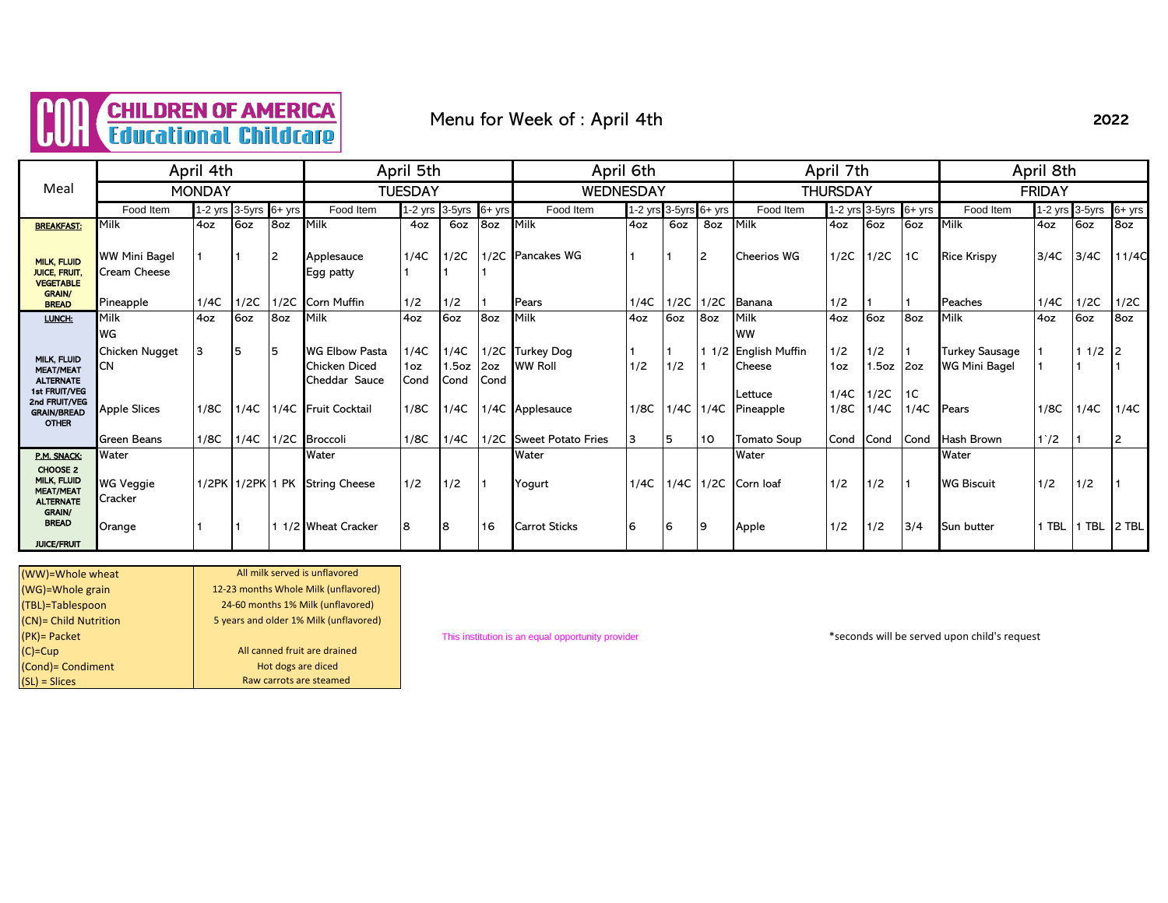

Menu for Week of : April 4th

|                                                                                 |                                      | April 4th     |                |          |                                                         | April 5th           |                              |             | April 6th                         |           |                   |      |                              | April 7th       |                |            | April 8th                                     |                |            |        |
|---------------------------------------------------------------------------------|--------------------------------------|---------------|----------------|----------|---------------------------------------------------------|---------------------|------------------------------|-------------|-----------------------------------|-----------|-------------------|------|------------------------------|-----------------|----------------|------------|-----------------------------------------------|----------------|------------|--------|
| Meal                                                                            |                                      | <b>MONDAY</b> |                |          |                                                         | TUESDAY             |                              |             | <b>WEDNESDAY</b>                  |           |                   |      |                              | <b>THURSDAY</b> |                |            |                                               | <b>FRIDAY</b>  |            |        |
|                                                                                 | Food Item                            |               | 1-2 yrs 3-5yrs | $6+$ yrs | Food Item                                               | 1-2 yrs             | 3-5yrs                       | $6+$ yrs    | Food Item                         | $1-2$ yrs | $3-5yrs$ $6+ yrs$ |      | Food Item                    |                 | 1-2 yrs 3-5yrs | $6+$ yrs   | Food Item                                     | 1-2 yrs 3-5yrs |            | 6+ yrs |
| <b>BREAKFAST:</b>                                                               | Milk                                 | 4oz           | 6oz            | 8oz      | Milk                                                    | 4oz                 | 6oz                          | 8oz         | Milk                              | 4oz       | 6oz               | 8oz  | Milk                         | 4oz             | 6oz            | 6oz        | <b>Milk</b>                                   | 4oz            | 6oz        | 8oz    |
| <b>MILK, FLUID</b><br><b>JUICE, FRUIT,</b><br><b>VEGETABLE</b><br><b>GRAIN/</b> | <b>WW Mini Bagel</b><br>Cream Cheese |               |                | 2        | Applesauce<br>Egg patty                                 | 1/4C                | 1/2C                         |             | 1/2C Pancakes WG                  |           | $\blacksquare$    | 2    | <b>Cheerios WG</b>           | 1/2C            | 1/2C           | 1C         | <b>Rice Krispy</b>                            | 3/4C           | 3/4C       | 11/4C  |
| <b>BREAD</b>                                                                    | Pineapple                            | 1/4C          | 1/2C           | 1/2C     | Corn Muffin                                             | 1/2                 | 1/2                          |             | Pears                             | 1/4C      | 1/2C              | 1/2C | Banana                       | 1/2             |                |            | Peaches                                       | 1/4C           | 1/2C       | 1/2C   |
| LUNCH:                                                                          | Milk<br>WG                           | 4oz           | 6oz            | 8oz      | Milk                                                    | 4oz                 | 6oz                          | 8oz         | Milk                              | 4oz       | 6oz               | 8oz  | Milk<br><b>WW</b>            | 4oz             | 6oz            | 8oz        | Milk                                          | 4oz            | 6oz        | 8oz    |
| MILK, FLUID<br><b>MEAT/MEAT</b><br><b>ALTERNATE</b>                             | Chicken Nugget<br>CN                 | 3             | 5              | 5        | <b>WG Elbow Pasta</b><br>Chicken Diced<br>Cheddar Sauce | 1/4C<br>1oz<br>Cond | 1/4C<br>1.5oz<br><b>Cond</b> | 2oz<br>Cond | 1/2C Turkey Dog<br><b>WW Roll</b> | 1/2       | 1/2               |      | 1/2 English Muffin<br>Cheese | 1/2<br>1oz      | 1/2<br>.5oz    | 2oz        | <b>Turkey Sausage</b><br><b>WG Mini Bagel</b> |                | 11/2       |        |
| 1st FRUIT/VEG<br>2nd FRUIT/VEG<br><b>GRAIN/BREAD</b><br><b>OTHER</b>            | <b>Apple Slices</b>                  | 1/8C          | 1/4C           |          | 1/4C Fruit Cocktail                                     | 1/8C                | 1/4C                         |             | 1/4C Applesauce                   | 1/8C      | 1/4C              |      | Lettuce<br>1/4C Pineapple    | 1/4C<br>1/8C    | 1/2C<br>1/4C   | 1C<br>1/4C | <b>I</b> Pears                                | 1/8C           | 1/4C       | 1/4C   |
|                                                                                 | <b>Green Beans</b>                   | 1/8C          | 1/4C           |          | 1/2C Broccoli                                           | 1/8C                | 1/4C                         |             | 1/2C Sweet Potato Fries           | Iз        | 15                | 10   | <b>Tomato Soup</b>           | Cond            | Cond           | Cond       | Hash Brown                                    | $1^{\prime}/2$ |            |        |
| P.M. SNACK:                                                                     | Water                                |               |                |          | Water                                                   |                     |                              |             | Water                             |           |                   |      | Water                        |                 |                |            | Water                                         |                |            |        |
| CHOOSE 2<br>MILK, FLUID<br><b>MEAT/MEAT</b><br><b>ALTERNATE</b>                 | <b>WG Veggie</b><br>Cracker          |               |                |          | 1/2PK 1/2PK 1 PK String Cheese                          | 1/2                 | 1/2                          |             | Yogurt                            | 1/4C      | 1/4C              |      | 1/2C Corn loaf               | 1/2             | 1/2            |            | <b>WG Biscuit</b>                             | 1/2            | 1/2        |        |
| <b>GRAIN/</b><br><b>BREAD</b><br><b>JUICE/FRUIT</b>                             | Orange                               |               |                |          | 1/2 Wheat Cracker                                       | 8                   | <b>8</b>                     | 16          | <b>Carrot Sticks</b>              | 6         | 6                 | 19   | Apple                        | 1/2             | 1/2            | 3/4        | <b>Sun butter</b>                             | <b>TBL</b>     | <b>TBL</b> | 2 TBL  |

| (WW)=Whole wheat      | All milk served is unflavored          |
|-----------------------|----------------------------------------|
| (WG)=Whole grain      | 12-23 months Whole Milk (unflavored)   |
| (TBL)=Tablespoon      | 24-60 months 1% Milk (unflavored)      |
| (CN)= Child Nutrition | 5 years and older 1% Milk (unflavored) |
| $(PK)$ = Packet       |                                        |
| $(C)=Cup$             | All canned fruit are drained           |
| (Cond) = Condiment    | Hot dogs are diced                     |
| $(SL)$ = Slices       | Raw carrots are steamed                |

(PK)= Packet This institution is an equal opportunity provider \*seconds will be served upon child's request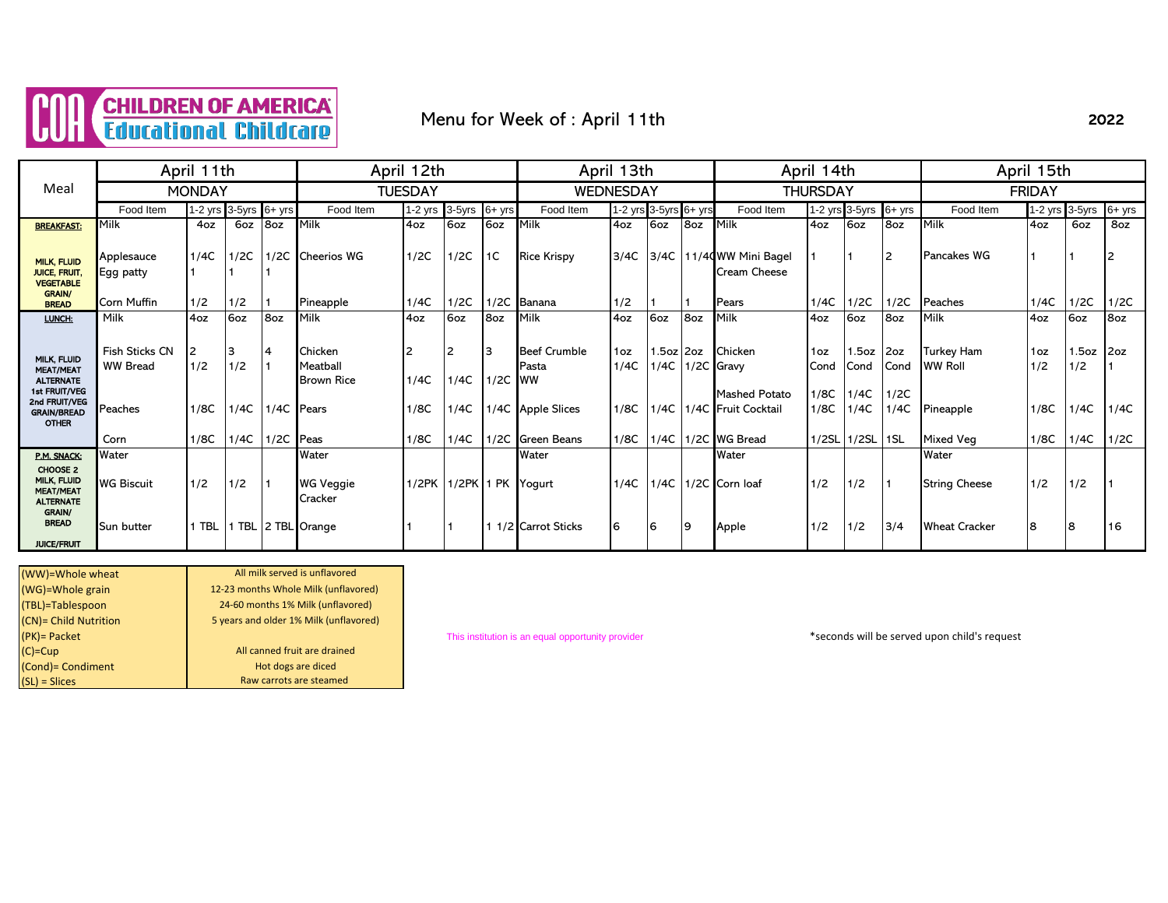

### Menu for Week of : April 11th

#### Food Item 1-2 yrs 3-5yrs 6+ yrs Food Item 1-2 yrs 3-5yrs 6+ yrs Food Item 1-2 yrs 3-5yrs 6+ yrs Food Item 1-2 yrs 3-5yrs 6+ yrs Food Item 1-2 yrs 3-5yrs 6+ yrs <mark>breakfast: </mark>Milk | 4oz | 6oz |8oz |Milk | 4oz | 6oz | Milk | 4oz | 6oz | 8oz | Milk | 4oz | 6oz | 8oz | 8oz | 8oz | 8oz | 8oz | 8oz | 8oz | 8oz | Applesauce |1/4C |1/2C |1/2C |Cheerios WG |1/2C |1/2C |1C |Rice Krispy |3/4C |3/4C |11/4**Q**WW Mini Bagel |1 |1 |2 |Pancakes WG |1 |1 |2 Egg patty 1 1 1 Cream Cheese Corn Muffin 1/2 1/2 1 Pineapple 1/4C 1/2C 1/2C Banana 1/2 1 1 Pears 1/4C 1/2C 1/2C Peaches 1/4C 1/2C 1/2C <u>LUNCH:</u> Milk |4oz |6oz |8oz |Milk |4oz |6oz |8oz |Milk |4oz |6oz |8oz |Milk |4oz |6oz |8oz |Milk |4oz |6oz |8oz Fish Sticks CN 2 3 4 Chicken 2 2 3 Beef Crumble 10z 1.5oz 2oz Chicken 10z 1.5oz 2oz Turkey Ham 10z 1.5oz 2oz WW Bread 1/2 1/2 1 Meatball Pasta 1/4C 1/4C 1/2C Gravy Cond Cond Cond WW Roll 1/2 1/2 1 Brown Rice  $\left| \frac{1}{4C} \right| \left| \frac{1}{4C} \right| \left| \frac{1}{2C} \right|$  WW Mashed Potato 1/8C 1/4C 1/2C Peaches 1/8C 1/4C 1/4C Pears 1/8C 1/4C 1/4C 1/4C Apple Slices 1/8C 1/4C 1/4C Fruit Cocktail 1/8C 1/4C 1/4C Pineapple 1/8C 1/4C 1/4C 1/4C Corn 1/8C 1/4C 1/2C Peas 1/8C 1/4C 1/2C Green Beans 1/8C 1/4C 1/2C WG Bread 1/2SL 1/2SL 1SL Mixed Veg 1/8C 1/4C 1/2C P.M. SNACK: Water Water Water Water Water WG Biscuit |1/2 |1/2 |1 |WG Veggie |1/2PK |1/2PK |1PK |Yogurt |1/4C |1/4C |1/2C |Corn loaf |1/2 |1/2 |1 |String Cheese |1/2 |1/2 |1 **Cracker** Sun butter | 1 TBL | 1 TBL | 2 TBL Orange 1 1 | 1 | 1 | 1/2 Carrot Sticks | 6 | 6 | 9 | Apple 1/2 | 1/2 | 1/2 | 3/4 | Wheat Cracker | 8 | 8 | 16 CHOOSE 2 MILK, FLUID MEAT/MEAT ALTERNATE GRAIN/ **BREAD** JUICE/FRUIT April 15th Meal April 11th MILK, FLUID MEAT/MEAT **ALTERNATE** 1st FRUIT/VEG 2nd FRUIT/VEG GRAIN/BREAD OTHER April 12th April 13th April 14th MONDAY | TUESDAY | WEDNESDAY | THURSDAY | FRIDAY MILK, FLUID JUICE, FRUIT, VEGETABLE GRAIN/ BREAD

| (WW)=Whole wheat      | All milk served is unflavored          |
|-----------------------|----------------------------------------|
| (WG)=Whole grain      | 12-23 months Whole Milk (unflavored)   |
| (TBL)=Tablespoon      | 24-60 months 1% Milk (unflavored)      |
| (CN)= Child Nutrition | 5 years and older 1% Milk (unflavored) |
| $(PK)$ = Packet       |                                        |
| $(C)=Cup$             | All canned fruit are drained           |
| (Cond) = Condiment    | Hot dogs are diced                     |
| $(SL) = Slices$       | Raw carrots are steamed                |
|                       |                                        |

(PK)= Packet This institution is an equal opportunity provider \*seconds will be served upon child's request

2022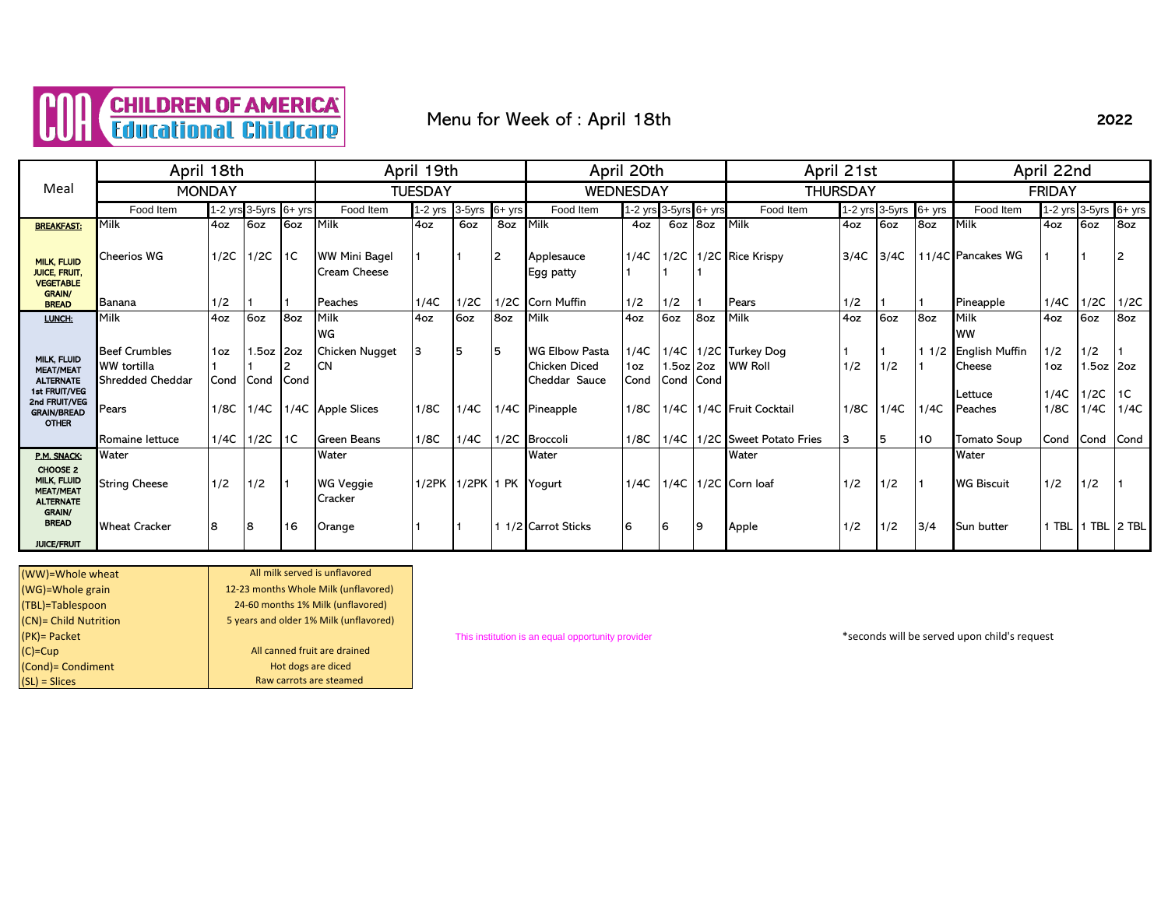

# Menu for Week of : April 18th

|                                                                                 | April 18th              |      |                       |             |                                             | April 19th     |        |          |                         | April 20th |                       |     | April 21st                   |                 |                |           | April 22nd           |               |                       |            |  |
|---------------------------------------------------------------------------------|-------------------------|------|-----------------------|-------------|---------------------------------------------|----------------|--------|----------|-------------------------|------------|-----------------------|-----|------------------------------|-----------------|----------------|-----------|----------------------|---------------|-----------------------|------------|--|
| Meal                                                                            | <b>MONDAY</b>           |      |                       |             |                                             | <b>TUESDAY</b> |        |          | <b>WEDNESDAY</b>        |            |                       |     |                              | <b>THURSDAY</b> |                |           |                      | <b>FRIDAY</b> |                       |            |  |
|                                                                                 | Food Item               |      | 1-2 yrs 3-5yrs 6+ yrs |             | Food Item                                   | $1-2$ yrs      | 3-5yrs | $6+$ yrs | Food Item               |            | 1-2 yrs 3-5yrs 6+ yrs |     | Food Item                    |                 | 1-2 yrs 3-5yrs | $6 + yrs$ | Food Item            |               | 1-2 yrs 3-5yrs 6+ yrs |            |  |
| <b>BREAKFAST:</b>                                                               | Milk                    | 4oz  | 6oz                   | 6oz         | Milk                                        | 4oz            | 6oz    | 8oz      | Milk                    | 4oz        | 6oz 8oz               |     | Milk                         | 4oz             | 6oz            | 8oz       | Milk                 | 4oz           | 6oz                   | 8oz        |  |
| <b>MILK, FLUID</b><br><b>JUICE, FRUIT,</b><br><b>VEGETABLE</b><br><b>GRAIN/</b> | Cheerios WG             | 1/2C | $1/2C$ 1C             |             | <b>WW Mini Bagel</b><br><b>Cream Cheese</b> |                |        | 12       | Applesauce<br>Egg patty | 1/4C       |                       |     | 1/2C 1/2C Rice Krispy        | 3/4C            | 3/4C           |           | 11/4C Pancakes WG    |               |                       |            |  |
| <b>BREAD</b>                                                                    | Banana                  | 1/2  |                       |             | Peaches                                     | 1/4C           | 1/2C   | 1/2C     | <b>Corn Muffin</b>      | 1/2        | 1/2                   |     | Pears                        | 1/2             |                |           | Pineapple            | 1/4C          | 1/2C                  | 1/2C       |  |
| LUNCH:                                                                          | Milk                    | 4oz  | 6oz                   | 8oz         | Milk                                        | 4oz            | 6oz    | 8oz      | Milk                    | 4oz        | 6oz                   | 8oz | Milk                         | 4oz             | 6oz            | 8oz       | Milk                 | 4oz           | 6oz                   | 8oz        |  |
|                                                                                 |                         |      |                       |             | WG                                          |                |        |          |                         |            |                       |     |                              |                 |                |           | <b>WW</b>            |               |                       |            |  |
| MILK, FLUID                                                                     | <b>Beef Crumbles</b>    | 1oz  | $1.5oz$ 2oz           |             | Chicken Nugget                              | 3              | 15     | 15       | <b>WG Elbow Pasta</b>   | 1/4C       |                       |     | 1/4C 1/2C Turkey Dog         |                 |                |           | 1 1/2 English Muffin | 1/2           | 1/2                   |            |  |
| <b>MEAT/MEAT</b>                                                                | <b>WW</b> tortilla      |      |                       |             | <b>CN</b>                                   |                |        |          | <b>Chicken Diced</b>    | 1oz        | 50z 20z               |     | <b>WW Roll</b>               | 1/2             | 1/2            |           | Cheese               | 1oz           | 50z   20z             |            |  |
| <b>ALTERNATE</b><br>1st FRUIT/VEG                                               | <b>Shredded Cheddar</b> | Cond | Cond                  | <b>Cond</b> |                                             |                |        |          | Cheddar Sauce           | Cond       | Cond   Cond           |     |                              |                 |                |           |                      |               |                       |            |  |
| 2nd FRUIT/VEG<br><b>GRAIN/BREAD</b><br><b>OTHER</b>                             | Pears                   | 1/8C | 1/4C                  |             | 1/4C Apple Slices                           | 1/8C           | 1/4C   |          | 1/4C Pineapple          | 1/8C       |                       |     | 1/4C 1/4C Fruit Cocktail     | 1/8C            | 1/4C           | 1/4C      | Lettuce<br>Peaches   | 1/4C<br>1/8C  | 1/2C<br>1/4C          | 1C<br>1/4C |  |
|                                                                                 | Romaine lettuce         |      | 1/4C 11/2C 1C         |             | <b>Green Beans</b>                          | 1/8C           | 1/4C   |          | 1/2C Broccoli           | 1/8C       |                       |     | 1/4C 1/2C Sweet Potato Fries | 3               | <b>5</b>       | 10        | <b>Tomato Soup</b>   | Cond          | Cond                  | Cond       |  |
| P.M. SNACK:                                                                     | Water                   |      |                       |             | Water                                       |                |        |          | Water                   |            |                       |     | Water                        |                 |                |           | Water                |               |                       |            |  |
| CHOOSE 2<br>MILK, FLUID<br><b>MEAT/MEAT</b><br><b>ALTERNATE</b>                 | <b>String Cheese</b>    | 1/2  | 1/2                   | $\vert$ 1   | <b>WG Veggie</b><br>Cracker                 |                |        |          | 1/2PK 1/2PK 1 PK Yogurt | 1/4C       |                       |     | 1/4C 1/2C Corn loaf          | 1/2             | 1/2            |           | <b>WG Biscuit</b>    | 1/2           | 1/2                   |            |  |
| GRAIN/<br><b>BREAD</b><br><b>JUICE/FRUIT</b>                                    | <b>Wheat Cracker</b>    | 8    | 8                     | 16          | Orange                                      |                |        |          | 1/2 Carrot Sticks       | 6          | 16                    | و ا | Apple                        | 1/2             | 1/2            | 3/4       | <b>Sun butter</b>    | 1 TBL         |                       |            |  |

| (WW)=Whole wheat      | All milk served is unflavored          |
|-----------------------|----------------------------------------|
| (WG)=Whole grain      | 12-23 months Whole Milk (unflavored)   |
| (TBL)=Tablespoon      | 24-60 months 1% Milk (unflavored)      |
| (CN)= Child Nutrition | 5 years and older 1% Milk (unflavored) |
| (PK) = Packet         |                                        |
| $(C)=Cup$             | All canned fruit are drained           |
| (Cond) = Condiment    | Hot dogs are diced                     |
| $(SL)$ = Slices       | Raw carrots are steamed                |

(PK)= Packet This institution is an equal opportunity provider \*seconds will be served upon child's request

2022